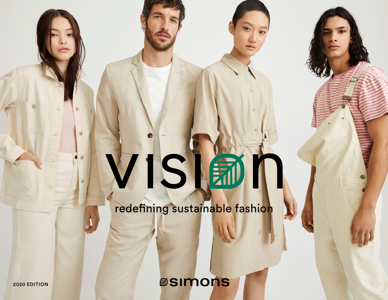# VISIA

redefining sustainable fashion

**ØSIMONS** 

2020 EDITION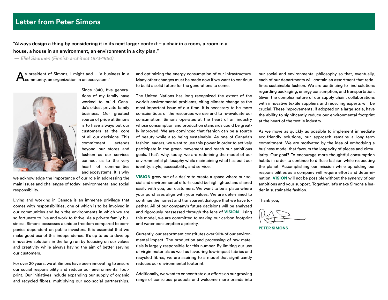"Always design a thing by considering it in its next larger context – a chair in a room, a room in a house, a house in an environment, an environment in a city plan."

— Eliel Saarinen (Finnish architect 1873-1950)

A s president of Simons, I might add – "a business in a community, an organization in an ecosystem."



Since 1840, five generations of my family have worked to build Canada's oldest private family business. Our greatest source of pride at Simons is to have always put our customers at the core of all our decisions. This commitment extends beyond our stores and fashion as our services connect us to the very heart of communities and ecosystems. It is why

we acknowledge the importance of our role in addressing the main issues and challenges of today: environmental and social responsibility.

Living and working in Canada is an immense privilege that comes with responsibilities, one of which is to be involved in our communities and help the environments in which we are so fortunate to live and work to thrive. As a private family business, Simons possesses a unique freedom compared to companies dependent on public investors. It is essential that we make good use of this independence. It's up to us to develop innovative solutions in the long run by focusing on our values and creativity while always having the aim of better serving our customers.

For over 20 years, we at Simons have been innovating to ensure our social responsibility and reduce our environmental footprint. Our initiatives include expanding our supply of organic and recycled fibres, multiplying our eco-social partnerships, and optimizing the energy consumption of our infrastructure. Many other changes must be made now if we want to continue to build a solid future for the generations to come.

The United Nations has long recognized the extent of the world's environmental problems, citing climate change as the most important issue of our time. It is necessary to be more conscientious of the resources we use and to re-evaluate our consumption. Simons operates at the heart of an industry whose consumption and production standards could be greatly improved. We are convinced that fashion can be a source of beauty while also being sustainable. As one of Canada's fashion leaders, we want to use this power in order to actively participate in the green movement and reach our ambitious goals. That's why, today, we are redefining the model of our environmental philosophy while maintaining what has built our identity: style, accessibility, and service.

VISION grew out of a desire to create a space where our social and environmental efforts could be highlighted and shared easily with you, our customers. We want to be a place where your purchases align with your values. We are determined to continue the honest and transparent dialogue that we have together. All of our company's future decisions will be analyzed and rigorously reassessed through the lens of VISION. Using this model, we are committed to making our carbon footprint and water consumption a priority.

Currently, our assortment constitutes over 90% of our environmental impact. The production and processing of raw materials is largely responsible for this number. By limiting our use of virgin materials as well as favouring low-impact fabrics and recycled fibres, we are aspiring to a model that significantly reduces our environmental footprint.

Additionally, we want to concentrate our efforts on our growing range of conscious products and welcome more brands into our social and environmental philosophy so that, eventually, each of our departments will contain an assortment that redefines sustainable fashion. We are continuing to find solutions regarding packaging, energy consumption, and transportation. Given the complex nature of our supply chain, collaborations with innovative textile suppliers and recycling experts will be crucial. These improvements, if adopted on a large scale, have the ability to significantly reduce our environmental footprint at the heart of the textile industry.

As we move as quickly as possible to implement immediate eco-friendly solutions, our approach remains a long-term commitment. We are motivated by the idea of embodying a business model that favours the longevity of pieces and circularity. Our goal? To encourage more thoughtful consumption habits in order to continue to diffuse fashion while respecting the planet. Accomplishing our mission while upholding our responsibilities as a company will require effort and determination. VISION will not be possible without the synergy of our ambitions and your support. Together, let's make Simons a leader in sustainable fashion.

Thank you,

PETER SIMONS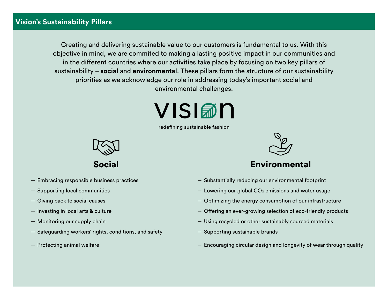# **Vision's Sustainability Pillars**

Creating and delivering sustainable value to our customers is fundamental to us. With this objective in mind, we are commited to making a lasting positive impact in our communities and in the different countries where our activities take place by focusing on two key pillars of sustainability – **social** and **environmental**. These pillars form the structure of our sustainability priorities as we acknowledge our role in addressing today's important social and environmental challenges.

# VISI翻N

redefining sustainable fashion



Social

- Embracing responsible business practices
- Supporting local communities
- Giving back to social causes
- Investing in local arts & culture
- Monitoring our supply chain
- Safeguarding workers' rights, conditions, and safety
- Protecting animal welfare



# Environmental

- Substantially reducing our environmental footprint
- $-$  Lowering our global CO<sub>2</sub> emissions and water usage
- Optimizing the energy consumption of our infrastructure
- Offering an ever-growing selection of eco-friendly products
- Using recycled or other sustainably sourced materials
- Supporting sustainable brands
- Encouraging circular design and longevity of wear through quality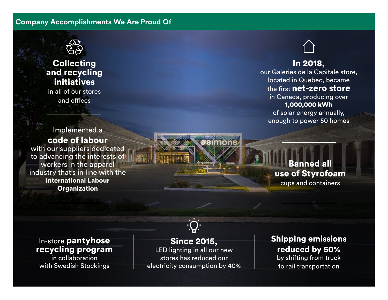# **Company Accomplishments We Are Proud Of**



# **Collecting** and recycling initiatives

in all of our stores and offices



# In 2018,

our Galeries de la Capitale store, located in Quebec, became the first net-zero store in Canada, producing over 1,000,000 kWh

of solar energy annually, enough to power 50 homes

Banned all use of Styrofoam cups and containers

code of labour with our suppliers dedicated to advancing the interests of workers in the apparel industry that's in line with the International Labour **Organization** 

Implemented a



#### In-store pantyhose recycling program in collaboration

with Swedish Stockings

# Since 2015,

LED lighting in all our new stores has reduced our electricity consumption by 40% Shipping emissions reduced by 50%

by shifting from truck to rail transportation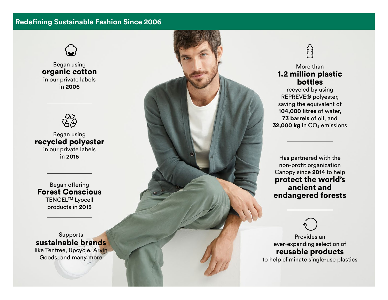#### **Redefining Sustainable Fashion Since 2006**



Began using organic cotton in our private labels in **2006**



Began using recycled polyester in our private labels

Began offering Forest Conscious TENCEL<sup>™</sup> Lyocell products in **2015**

Supports sustainable brands

like Tentree, Upcycle, Arvin Goods, and many more



#### More than 1.2 million plastic bottles

recycled by using REPREVE® polyester, saving the equivalent of **104,000 litres** of water, **73 barrels** of oil, and **32,000 kg** in CO₂ emissions

non-profit organization Canopy since **2014** to help protect the world's ancient and endangered forests

Provides an ever-expanding selection of reusable products to help eliminate single-use plastics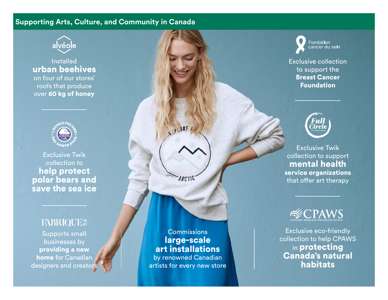# **Supporting Arts, Culture, and Community in Canada**

![](_page_5_Picture_1.jpeg)

# Installed urban beehives on four of our stores' roofs that produce over 60 kg of honey

![](_page_5_Picture_3.jpeg)

Exclusive Twik collection to help protect polar bears and save the sea ice

# FABRIQUE<sup>18</sup>

Supports small businesses by providing a new home for Canadian designers and creators

**Commissions** large-scale art installations by renowned Canadian

**IRE** 

**ARCTIC** 

artists for every new store

**Fondation** cancer du sein

Exclusive collection to support the Breast Cancer Foundation

![](_page_5_Picture_11.jpeg)

Exclusive Twik collection to support mental health service organizations that offer art therapy

Exclusive eco-friendly collection to help CPAWS in protecting Canada's natural habitats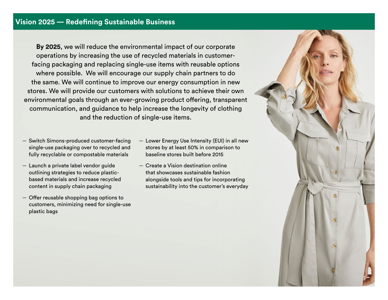**By 2025**, we will reduce the environmental impact of our corporate operations by increasing the use of recycled materials in customerfacing packaging and replacing single-use items with reusable options where possible. We will encourage our supply chain partners to do the same. We will continue to improve our energy consumption in new stores. We will provide our customers with solutions to achieve their own environmental goals through an ever-growing product offering, transparent communication, and guidance to help increase the longevity of clothing and the reduction of single-use items.

- Switch Simons-produced customer-facing single-use packaging over to recycled and fully recyclable or compostable materials
- Launch a private label vendor guide outlining strategies to reduce plasticbased materials and increase recycled content in supply chain packaging
- Offer reusable shopping bag options to customers, minimizing need for single-use plastic bags
- Lower Energy Use Intensity (EUI) in all new stores by at least 50% in comparison to baseline stores built before 2015
- Create a Vision destination online that showcases sustainable fashion alongside tools and tips for incorporating sustainability into the customer's everyday

![](_page_6_Picture_7.jpeg)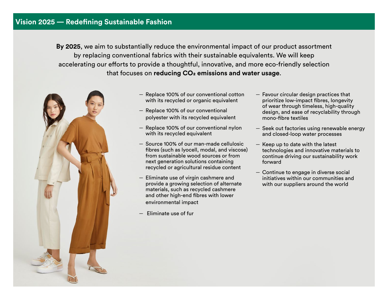### **Vision 2025 — Redefining Sustainable Fashion**

**By 2025**, we aim to substantially reduce the environmental impact of our product assortment by replacing conventional fabrics with their sustainable equivalents. We will keep accelerating our efforts to provide a thoughtful, innovative, and more eco-friendly selection that focuses on **reducing CO2 emissions and water usage**.

![](_page_7_Picture_2.jpeg)

- Replace 100% of our conventional cotton with its recycled or organic equivalent
- Replace 100% of our conventional polyester with its recycled equivalent
- Replace 100% of our conventional nylon with its recycled equivalent
- Source 100% of our man-made cellulosic fibres (such as lyocell, modal, and viscose) from sustainable wood sources or from next generation solutions containing recycled or agricultural residue content
- Eliminate use of virgin cashmere and provide a growing selection of alternate materials, such as recycled cashmere and other high-end fibres with lower environmental impact
- Eliminate use of fur
- Favour circular design practices that prioritize low-impact fibres, longevity of wear through timeless, high-quality design, and ease of recyclability through mono-fibre textiles
- Seek out factories using renewable energy and closed-loop water processes
- Keep up to date with the latest technologies and innovative materials to continue driving our sustainability work forward
- Continue to engage in diverse social initiatives within our communities and with our suppliers around the world